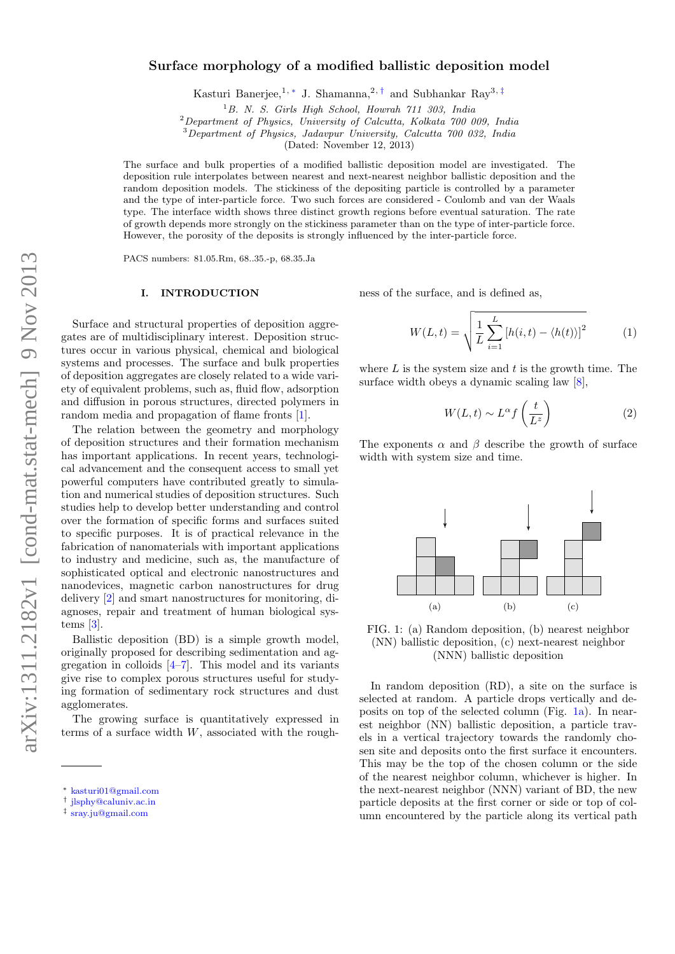# Surface morphology of a modified ballistic deposition model

Kasturi Banerjee,<sup>1,\*</sup> J. Shamanna,<sup>2,[†](#page-0-1)</sup> and Subhankar Ray<sup>3,[‡](#page-0-2)</sup>

 $1B.$  N. S. Girls High School, Howrah  $711$  303, India

<sup>2</sup>Department of Physics, University of Calcutta, Kolkata 700 009, India

<sup>3</sup>Department of Physics, Jadavpur University, Calcutta 700 032, India

(Dated: November 12, 2013)

The surface and bulk properties of a modified ballistic deposition model are investigated. The deposition rule interpolates between nearest and next-nearest neighbor ballistic deposition and the random deposition models. The stickiness of the depositing particle is controlled by a parameter and the type of inter-particle force. Two such forces are considered - Coulomb and van der Waals type. The interface width shows three distinct growth regions before eventual saturation. The rate of growth depends more strongly on the stickiness parameter than on the type of inter-particle force. However, the porosity of the deposits is strongly influenced by the inter-particle force.

PACS numbers: 81.05.Rm, 68..35.-p, 68.35.Ja

#### I. INTRODUCTION

Surface and structural properties of deposition aggregates are of multidisciplinary interest. Deposition structures occur in various physical, chemical and biological systems and processes. The surface and bulk properties of deposition aggregates are closely related to a wide variety of equivalent problems, such as, fluid flow, adsorption and diffusion in porous structures, directed polymers in random media and propagation of flame fronts [\[1\]](#page-5-0).

The relation between the geometry and morphology of deposition structures and their formation mechanism has important applications. In recent years, technological advancement and the consequent access to small yet powerful computers have contributed greatly to simulation and numerical studies of deposition structures. Such studies help to develop better understanding and control over the formation of specific forms and surfaces suited to specific purposes. It is of practical relevance in the fabrication of nanomaterials with important applications to industry and medicine, such as, the manufacture of sophisticated optical and electronic nanostructures and nanodevices, magnetic carbon nanostructures for drug delivery [\[2\]](#page-5-1) and smart nanostructures for monitoring, diagnoses, repair and treatment of human biological systems [\[3\]](#page-5-2).

Ballistic deposition (BD) is a simple growth model, originally proposed for describing sedimentation and aggregation in colloids  $[4-7]$  $[4-7]$ . This model and its variants give rise to complex porous structures useful for studying formation of sedimentary rock structures and dust agglomerates.

The growing surface is quantitatively expressed in terms of a surface width  $W$ , associated with the roughness of the surface, and is defined as,

$$
W(L, t) = \sqrt{\frac{1}{L} \sum_{i=1}^{L} [h(i, t) - \langle h(t) \rangle]^2}
$$
 (1)

where  $L$  is the system size and  $t$  is the growth time. The surface width obeys a dynamic scaling law [\[8\]](#page-5-5),

$$
W(L, t) \sim L^{\alpha} f\left(\frac{t}{L^z}\right) \tag{2}
$$

The exponents  $\alpha$  and  $\beta$  describe the growth of surface width with system size and time.

<span id="page-0-3"></span>

<span id="page-0-5"></span><span id="page-0-4"></span>FIG. 1: (a) Random deposition, (b) nearest neighbor (NN) ballistic deposition, (c) next-nearest neighbor (NNN) ballistic deposition

In random deposition (RD), a site on the surface is selected at random. A particle drops vertically and deposits on top of the selected column (Fig. [1a\)](#page-0-3). In nearest neighbor (NN) ballistic deposition, a particle travels in a vertical trajectory towards the randomly chosen site and deposits onto the first surface it encounters. This may be the top of the chosen column or the side of the nearest neighbor column, whichever is higher. In the next-nearest neighbor (NNN) variant of BD, the new particle deposits at the first corner or side or top of column encountered by the particle along its vertical path

<span id="page-0-0"></span><sup>∗</sup> [kasturi01@gmail.com](mailto:kasturi01@gmail.com)

<span id="page-0-1"></span><sup>†</sup> [jlsphy@caluniv.ac.in](mailto:jlsphy@caluniv.ac.in)

<span id="page-0-2"></span><sup>‡</sup> [sray.ju@gmail.com](mailto:sray.ju@gmail.com)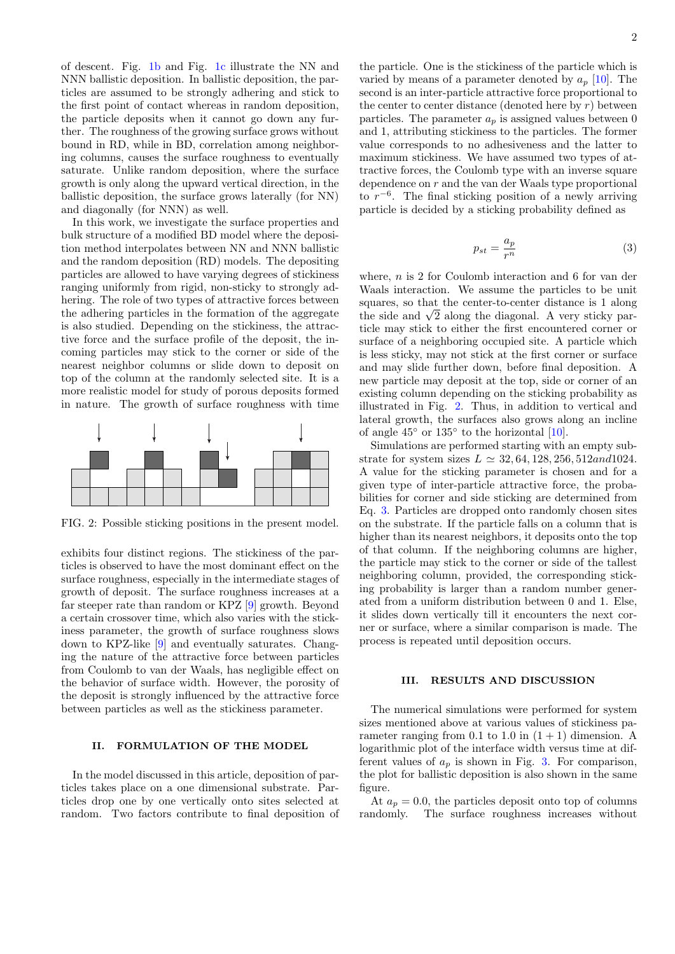of descent. Fig. [1b](#page-0-4) and Fig. [1c](#page-0-5) illustrate the NN and NNN ballistic deposition. In ballistic deposition, the particles are assumed to be strongly adhering and stick to the first point of contact whereas in random deposition, the particle deposits when it cannot go down any further. The roughness of the growing surface grows without bound in RD, while in BD, correlation among neighboring columns, causes the surface roughness to eventually saturate. Unlike random deposition, where the surface growth is only along the upward vertical direction, in the ballistic deposition, the surface grows laterally (for NN) and diagonally (for NNN) as well.

In this work, we investigate the surface properties and bulk structure of a modified BD model where the deposition method interpolates between NN and NNN ballistic and the random deposition (RD) models. The depositing particles are allowed to have varying degrees of stickiness ranging uniformly from rigid, non-sticky to strongly adhering. The role of two types of attractive forces between the adhering particles in the formation of the aggregate is also studied. Depending on the stickiness, the attractive force and the surface profile of the deposit, the incoming particles may stick to the corner or side of the nearest neighbor columns or slide down to deposit on top of the column at the randomly selected site. It is a more realistic model for study of porous deposits formed in nature. The growth of surface roughness with time

<span id="page-1-0"></span>

FIG. 2: Possible sticking positions in the present model.

exhibits four distinct regions. The stickiness of the particles is observed to have the most dominant effect on the surface roughness, especially in the intermediate stages of growth of deposit. The surface roughness increases at a far steeper rate than random or KPZ [\[9\]](#page-5-6) growth. Beyond a certain crossover time, which also varies with the stickiness parameter, the growth of surface roughness slows down to KPZ-like [\[9\]](#page-5-6) and eventually saturates. Changing the nature of the attractive force between particles from Coulomb to van der Waals, has negligible effect on the behavior of surface width. However, the porosity of the deposit is strongly influenced by the attractive force between particles as well as the stickiness parameter.

### II. FORMULATION OF THE MODEL

In the model discussed in this article, deposition of particles takes place on a one dimensional substrate. Particles drop one by one vertically onto sites selected at random. Two factors contribute to final deposition of the particle. One is the stickiness of the particle which is varied by means of a parameter denoted by  $a_n$  [\[10\]](#page-5-7). The second is an inter-particle attractive force proportional to the center to center distance (denoted here by  $r$ ) between particles. The parameter  $a_p$  is assigned values between 0 and 1, attributing stickiness to the particles. The former value corresponds to no adhesiveness and the latter to maximum stickiness. We have assumed two types of attractive forces, the Coulomb type with an inverse square dependence on r and the van der Waals type proportional to  $r^{-6}$ . The final sticking position of a newly arriving particle is decided by a sticking probability defined as

<span id="page-1-1"></span>
$$
p_{st} = \frac{a_p}{r^n} \tag{3}
$$

where, n is 2 for Coulomb interaction and 6 for van der Waals interaction. We assume the particles to be unit squares, so that the center-to-center distance is 1 along squares, so that the center-to-center distance is 1 along<br>the side and  $\sqrt{2}$  along the diagonal. A very sticky particle may stick to either the first encountered corner or surface of a neighboring occupied site. A particle which is less sticky, may not stick at the first corner or surface and may slide further down, before final deposition. A new particle may deposit at the top, side or corner of an existing column depending on the sticking probability as illustrated in Fig. [2.](#page-1-0) Thus, in addition to vertical and lateral growth, the surfaces also grows along an incline of angle  $45^{\circ}$  or  $135^{\circ}$  to the horizontal [\[10\]](#page-5-7).

Simulations are performed starting with an empty substrate for system sizes  $L \approx 32, 64, 128, 256, 512$  and 1024. A value for the sticking parameter is chosen and for a given type of inter-particle attractive force, the probabilities for corner and side sticking are determined from Eq. [3.](#page-1-1) Particles are dropped onto randomly chosen sites on the substrate. If the particle falls on a column that is higher than its nearest neighbors, it deposits onto the top of that column. If the neighboring columns are higher, the particle may stick to the corner or side of the tallest neighboring column, provided, the corresponding sticking probability is larger than a random number generated from a uniform distribution between 0 and 1. Else, it slides down vertically till it encounters the next corner or surface, where a similar comparison is made. The process is repeated until deposition occurs.

## III. RESULTS AND DISCUSSION

The numerical simulations were performed for system sizes mentioned above at various values of stickiness parameter ranging from 0.1 to 1.0 in  $(1 + 1)$  dimension. A logarithmic plot of the interface width versus time at different values of  $a_p$  is shown in Fig. [3.](#page-2-0) For comparison, the plot for ballistic deposition is also shown in the same figure.

At  $a_p = 0.0$ , the particles deposit onto top of columns randomly. The surface roughness increases without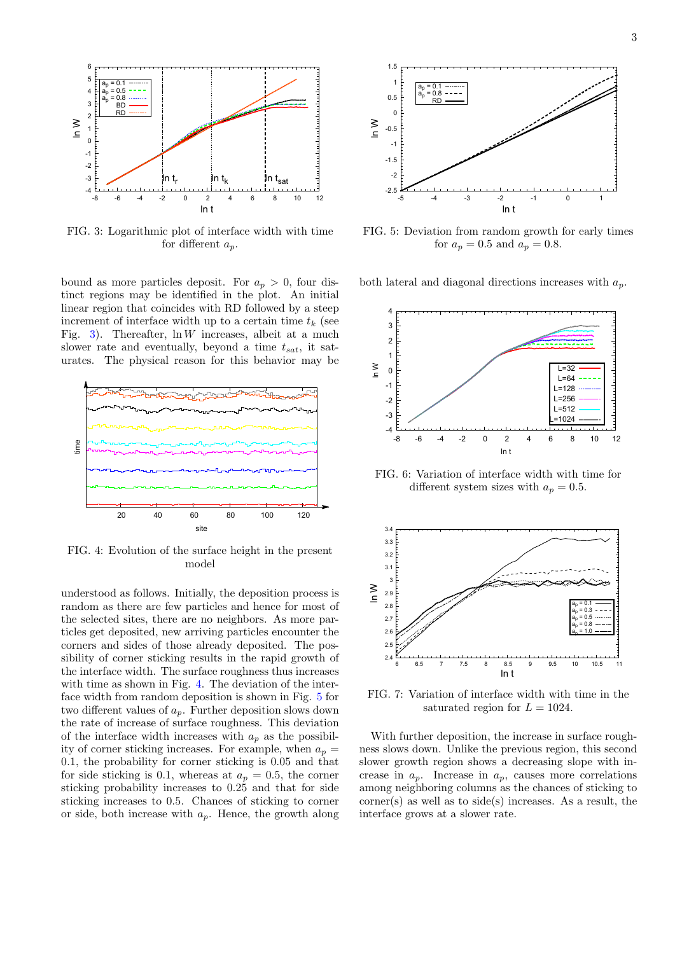<span id="page-2-0"></span>

FIG. 3: Logarithmic plot of interface width with time for different  $a_n$ .

bound as more particles deposit. For  $a_p > 0$ , four distinct regions may be identified in the plot. An initial linear region that coincides with RD followed by a steep increment of interface width up to a certain time  $t_k$  (see Fig. [3\)](#page-2-0). Thereafter,  $\ln W$  increases, albeit at a much slower rate and eventually, beyond a time  $t_{sat}$ , it saturates. The physical reason for this behavior may be

<span id="page-2-1"></span>

FIG. 4: Evolution of the surface height in the present model

understood as follows. Initially, the deposition process is random as there are few particles and hence for most of the selected sites, there are no neighbors. As more particles get deposited, new arriving particles encounter the corners and sides of those already deposited. The possibility of corner sticking results in the rapid growth of the interface width. The surface roughness thus increases with time as shown in Fig. [4.](#page-2-1) The deviation of the interface width from random deposition is shown in Fig. [5](#page-2-2) for two different values of  $a_p$ . Further deposition slows down the rate of increase of surface roughness. This deviation of the interface width increases with  $a_p$  as the possibility of corner sticking increases. For example, when  $a_p =$ 0.1, the probability for corner sticking is 0.05 and that for side sticking is 0.1, whereas at  $a_p = 0.5$ , the corner sticking probability increases to 0.25 and that for side sticking increases to 0.5. Chances of sticking to corner or side, both increase with  $a_p$ . Hence, the growth along

<span id="page-2-2"></span>

FIG. 5: Deviation from random growth for early times for  $a_p = 0.5$  and  $a_p = 0.8$ .

both lateral and diagonal directions increases with  $a_n$ .

<span id="page-2-3"></span>

FIG. 6: Variation of interface width with time for different system sizes with  $a_p = 0.5$ .

<span id="page-2-4"></span>

FIG. 7: Variation of interface width with time in the saturated region for  $L = 1024$ .

With further deposition, the increase in surface roughness slows down. Unlike the previous region, this second slower growth region shows a decreasing slope with increase in  $a_p$ . Increase in  $a_p$ , causes more correlations among neighboring columns as the chances of sticking to  $corner(s)$  as well as to side(s) increases. As a result, the interface grows at a slower rate.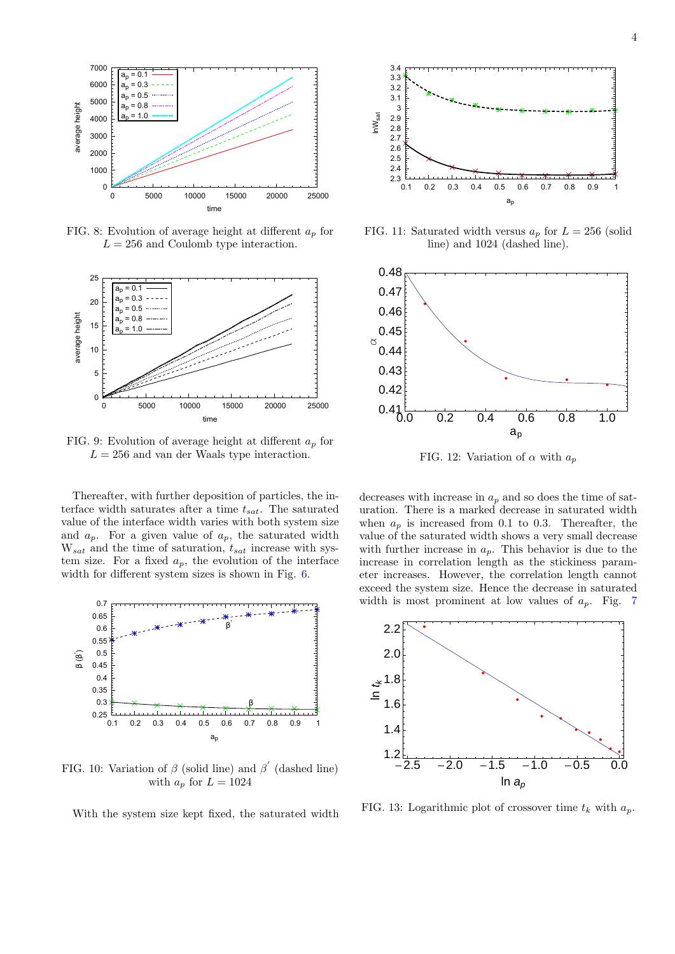<span id="page-3-0"></span>

FIG. 8: Evolution of average height at different  $a_n$  for  $L = 256$  and Coulomb type interaction.

<span id="page-3-1"></span>

FIG. 9: Evolution of average height at different  $a_p$  for  $L = 256$  and van der Waals type interaction.

Thereafter, with further deposition of particles, the interface width saturates after a time  $t_{sat}$ . The saturated value of the interface width varies with both system size and  $a_p$ . For a given value of  $a_p$ , the saturated width  $W_{sat}$  and the time of saturation,  $t_{sat}$  increase with system size. For a fixed  $a_p$ , the evolution of the interface width for different system sizes is shown in Fig. [6.](#page-2-3)

<span id="page-3-2"></span>

FIG. 10: Variation of  $\beta$  (solid line) and  $\beta'$  (dashed line) with  $a_p$  for  $L = 1024$ 

With the system size kept fixed, the saturated width

<span id="page-3-3"></span>

FIG. 11: Saturated width versus  $a_p$  for  $L = 256$  (solid line) and 1024 (dashed line).

<span id="page-3-4"></span>

FIG. 12: Variation of  $\alpha$  with  $a_n$ 

decreases with increase in  $a_p$  and so does the time of saturation. There is a marked decrease in saturated width when  $a_p$  is increased from 0.1 to 0.3. Thereafter, the value of the saturated width shows a very small decrease with further increase in  $a_p$ . This behavior is due to the increase in correlation length as the stickiness parameter increases. However, the correlation length cannot exceed the system size. Hence the decrease in saturated width is most prominent at low values of  $a_p$ . Fig. [7](#page-2-4)

<span id="page-3-5"></span>

FIG. 13: Logarithmic plot of crossover time  $t_k$  with  $a_p$ .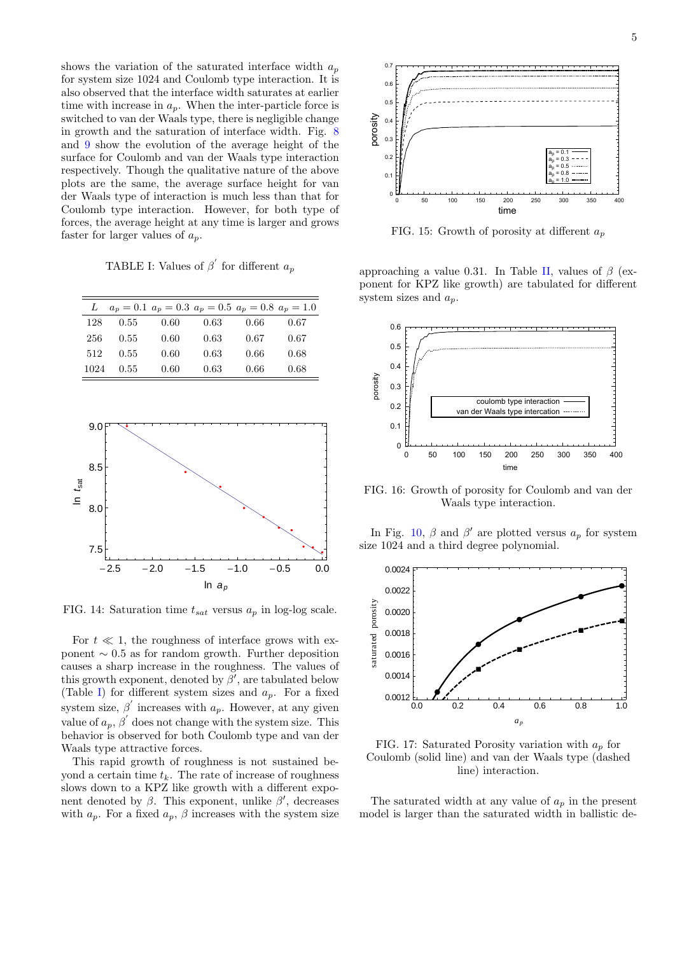shows the variation of the saturated interface width  $a_p$ for system size 1024 and Coulomb type interaction. It is also observed that the interface width saturates at earlier time with increase in  $a_p$ . When the inter-particle force is switched to van der Waals type, there is negligible change in growth and the saturation of interface width. Fig. [8](#page-3-0) and [9](#page-3-1) show the evolution of the average height of the surface for Coulomb and van der Waals type interaction respectively. Though the qualitative nature of the above plots are the same, the average surface height for van der Waals type of interaction is much less than that for Coulomb type interaction. However, for both type of forces, the average height at any time is larger and grows faster for larger values of  $a_p$ .

<span id="page-4-0"></span>TABLE I: Values of  $\beta'$  for different  $a_p$ 

| L    |      |      |      | $a_n = 0.1$ $a_n = 0.3$ $a_n = 0.5$ $a_n = 0.8$ $a_n = 1.0$ |      |
|------|------|------|------|-------------------------------------------------------------|------|
| 128  | 0.55 | 0.60 | 0.63 | 0.66                                                        | 0.67 |
| 256  | 0.55 | 0.60 | 0.63 | 0.67                                                        | 0.67 |
| 512  | 0.55 | 0.60 | 0.63 | 0.66                                                        | 0.68 |
| 1024 | 0.55 | 0.60 | 0.63 | 0.66                                                        | 0.68 |

<span id="page-4-1"></span>

FIG. 14: Saturation time  $t_{sat}$  versus  $a_p$  in log-log scale.

For  $t \ll 1$ , the roughness of interface grows with exponent  $\sim 0.5$  as for random growth. Further deposition causes a sharp increase in the roughness. The values of this growth exponent, denoted by  $\beta'$ , are tabulated below (Table [I\)](#page-4-0) for different system sizes and  $a_p$ . For a fixed system size,  $\beta'$  increases with  $a_p$ . However, at any given value of  $a_p$ ,  $\beta'$  does not change with the system size. This behavior is observed for both Coulomb type and van der Waals type attractive forces.

This rapid growth of roughness is not sustained beyond a certain time  $t_k$ . The rate of increase of roughness slows down to a KPZ like growth with a different exponent denoted by  $\beta$ . This exponent, unlike  $\beta'$ , decreases with  $a_p$ . For a fixed  $a_p$ ,  $\beta$  increases with the system size

<span id="page-4-2"></span>

FIG. 15: Growth of porosity at different  $a_n$ 

approaching a value 0.31. In Table [II,](#page-5-8) values of  $\beta$  (exponent for KPZ like growth) are tabulated for different system sizes and  $a_n$ .

<span id="page-4-3"></span>

FIG. 16: Growth of porosity for Coulomb and van der Waals type interaction.

In Fig. [10,](#page-3-2)  $\beta$  and  $\beta'$  are plotted versus  $a_p$  for system size 1024 and a third degree polynomial.

<span id="page-4-4"></span>

FIG. 17: Saturated Porosity variation with  $a_p$  for Coulomb (solid line) and van der Waals type (dashed line) interaction.

The saturated width at any value of  $a_n$  in the present model is larger than the saturated width in ballistic de